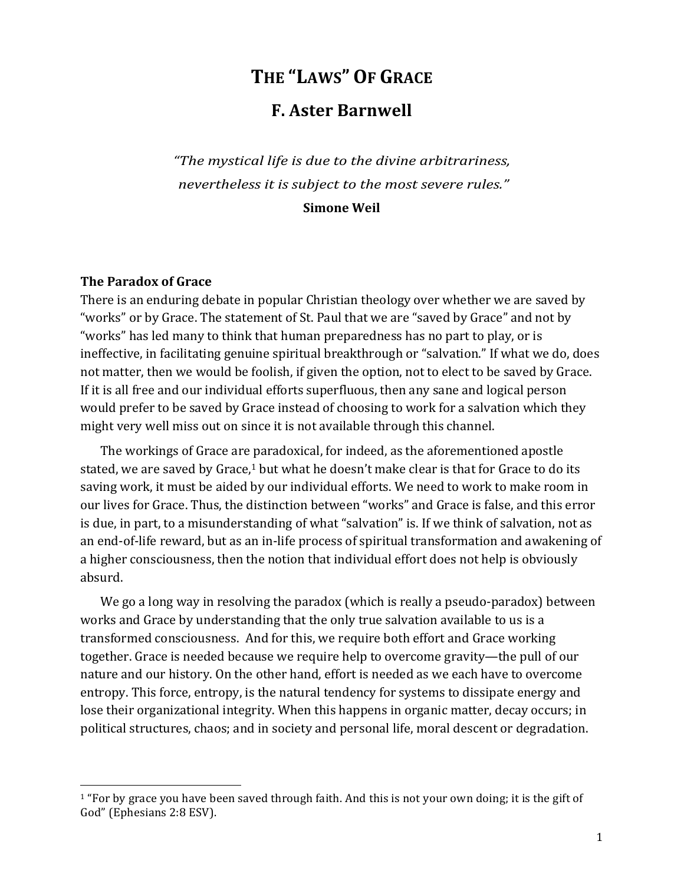# THE "LAWS" OF GRACE

# **F. Aster Barnwell**

"The mystical life is due to the divine arbitrariness, nevertheless it is subject to the most severe rules."

**Simone Weil** 

#### **The Paradox of Grace**

There is an enduring debate in popular Christian theology over whether we are saved by "works" or by Grace. The statement of St. Paul that we are "saved by Grace" and not by "works" has led many to think that human preparedness has no part to play, or is ineffective, in facilitating genuine spiritual breakthrough or "salvation." If what we do, does not matter, then we would be foolish, if given the option, not to elect to be saved by Grace. If it is all free and our individual efforts superfluous, then any sane and logical person would prefer to be saved by Grace instead of choosing to work for a salvation which they might very well miss out on since it is not available through this channel.

The workings of Grace are paradoxical, for indeed, as the aforementioned apostle stated, we are saved by Grace,<sup>1</sup> but what he doesn't make clear is that for Grace to do its saving work, it must be aided by our individual efforts. We need to work to make room in our lives for Grace. Thus, the distinction between "works" and Grace is false, and this error is due, in part, to a misunderstanding of what "salvation" is. If we think of salvation, not as an end-of-life reward, but as an in-life process of spiritual transformation and awakening of a higher consciousness, then the notion that individual effort does not help is obviously absurd.

We go a long way in resolving the paradox (which is really a pseudo-paradox) between works and Grace by understanding that the only true salvation available to us is a transformed consciousness. And for this, we require both effort and Grace working together. Grace is needed because we require help to overcome gravity—the pull of our nature and our history. On the other hand, effort is needed as we each have to overcome entropy. This force, entropy, is the natural tendency for systems to dissipate energy and lose their organizational integrity. When this happens in organic matter, decay occurs; in political structures, chaos; and in society and personal life, moral descent or degradation.

<sup>&</sup>lt;sup>1</sup> "For by grace you have been saved through faith. And this is not your own doing; it is the gift of God" (Ephesians 2:8 ESV).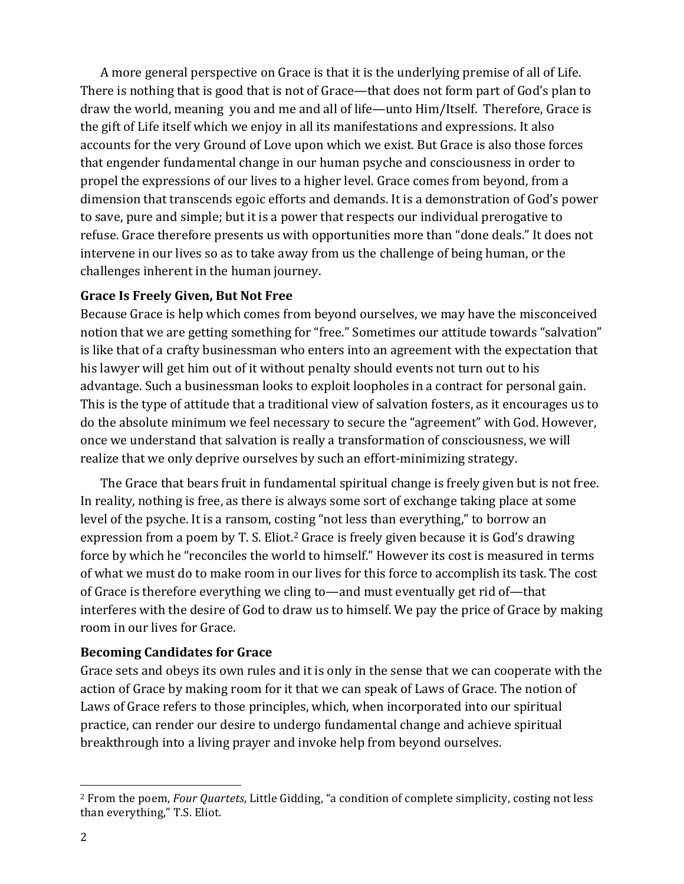A more general perspective on Grace is that it is the underlying premise of all of Life. There is nothing that is good that is not of Grace—that does not form part of God's plan to draw the world, meaning you and me and all of life—unto Him/Itself. Therefore, Grace is the gift of Life itself which we enjoy in all its manifestations and expressions. It also accounts for the very Ground of Love upon which we exist. But Grace is also those forces that engender fundamental change in our human psyche and consciousness in order to propel the expressions of our lives to a higher level. Grace comes from beyond, from a dimension that transcends egoic efforts and demands. It is a demonstration of God's power to save, pure and simple; but it is a power that respects our individual prerogative to refuse. Grace therefore presents us with opportunities more than "done deals." It does not intervene in our lives so as to take away from us the challenge of being human, or the challenges inherent in the human journey.

### **Grace Is Freely Given, But Not Free**

Because Grace is help which comes from beyond ourselves, we may have the misconceived notion that we are getting something for "free." Sometimes our attitude towards "salvation" is like that of a crafty businessman who enters into an agreement with the expectation that his lawyer will get him out of it without penalty should events not turn out to his advantage. Such a businessman looks to exploit loopholes in a contract for personal gain. This is the type of attitude that a traditional view of salvation fosters, as it encourages us to do the absolute minimum we feel necessary to secure the "agreement" with God. However, once we understand that salvation is really a transformation of consciousness, we will realize that we only deprive ourselves by such an effort-minimizing strategy.

The Grace that bears fruit in fundamental spiritual change is freely given but is not free. In reality, nothing is free, as there is always some sort of exchange taking place at some level of the psyche. It is a ransom, costing "not less than everything," to borrow an expression from a poem by T. S. Eliot.<sup>2</sup> Grace is freely given because it is God's drawing force by which he "reconciles the world to himself." However its cost is measured in terms of what we must do to make room in our lives for this force to accomplish its task. The cost of Grace is therefore everything we cling to—and must eventually get rid of—that interferes with the desire of God to draw us to himself. We pay the price of Grace by making room in our lives for Grace.

## **Becoming Candidates for Grace**

Grace sets and obeys its own rules and it is only in the sense that we can cooperate with the action of Grace by making room for it that we can speak of Laws of Grace. The notion of Laws of Grace refers to those principles, which, when incorporated into our spiritual practice, can render our desire to undergo fundamental change and achieve spiritual breakthrough into a living prayer and invoke help from beyond ourselves.

<sup>&</sup>lt;sup>2</sup> From the poem, Four Quartets, Little Gidding, "a condition of complete simplicity, costing not less than everything," T.S. Eliot.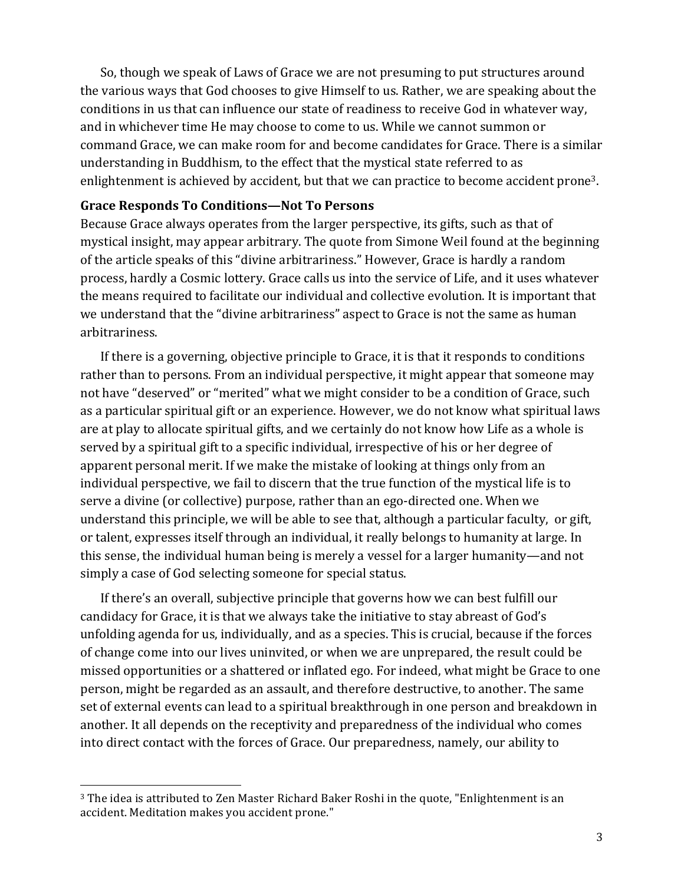So, though we speak of Laws of Grace we are not presuming to put structures around the various ways that God chooses to give Himself to us. Rather, we are speaking about the conditions in us that can influence our state of readiness to receive God in whatever way, and in whichever time He may choose to come to us. While we cannot summon or command Grace, we can make room for and become candidates for Grace. There is a similar understanding in Buddhism, to the effect that the mystical state referred to as enlightenment is achieved by accident, but that we can practice to become accident prone<sup>3</sup>.

#### **Grace Responds To Conditions-Not To Persons**

Because Grace always operates from the larger perspective, its gifts, such as that of mystical insight, may appear arbitrary. The quote from Simone Weil found at the beginning of the article speaks of this "divine arbitrariness." However, Grace is hardly a random process, hardly a Cosmic lottery. Grace calls us into the service of Life, and it uses whatever the means required to facilitate our individual and collective evolution. It is important that we understand that the "divine arbitrariness" aspect to Grace is not the same as human arbitrariness.

If there is a governing, objective principle to Grace, it is that it responds to conditions rather than to persons. From an individual perspective, it might appear that someone may not have "deserved" or "merited" what we might consider to be a condition of Grace, such as a particular spiritual gift or an experience. However, we do not know what spiritual laws are at play to allocate spiritual gifts, and we certainly do not know how Life as a whole is served by a spiritual gift to a specific individual, irrespective of his or her degree of apparent personal merit. If we make the mistake of looking at things only from an individual perspective, we fail to discern that the true function of the mystical life is to serve a divine (or collective) purpose, rather than an ego-directed one. When we understand this principle, we will be able to see that, although a particular faculty, or gift, or talent, expresses itself through an individual, it really belongs to humanity at large. In this sense, the individual human being is merely a vessel for a larger humanity—and not simply a case of God selecting someone for special status.

If there's an overall, subjective principle that governs how we can best fulfill our candidacy for Grace, it is that we always take the initiative to stay abreast of God's unfolding agenda for us, individually, and as a species. This is crucial, because if the forces of change come into our lives uninvited, or when we are unprepared, the result could be missed opportunities or a shattered or inflated ego. For indeed, what might be Grace to one person, might be regarded as an assault, and therefore destructive, to another. The same set of external events can lead to a spiritual breakthrough in one person and breakdown in another. It all depends on the receptivity and preparedness of the individual who comes into direct contact with the forces of Grace. Our preparedness, namely, our ability to

<sup>&</sup>lt;sup>3</sup> The idea is attributed to Zen Master Richard Baker Roshi in the quote, "Enlightenment is an accident. Meditation makes you accident prone."